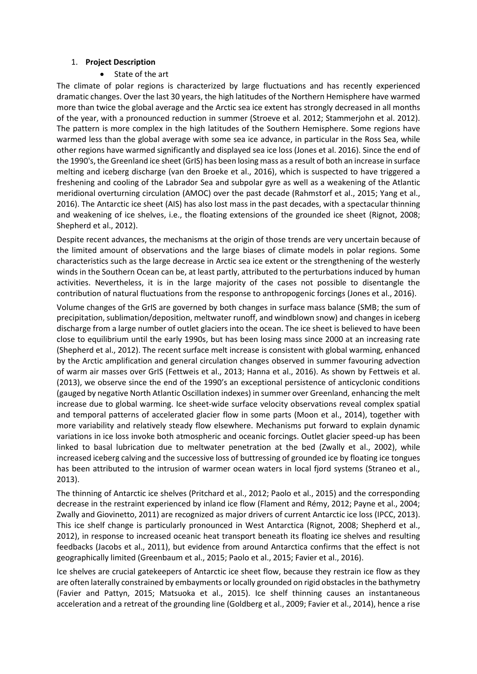### 1. **Project Description**

State of the art

The climate of polar regions is characterized by large fluctuations and has recently experienced dramatic changes. Over the last 30 years, the high latitudes of the Northern Hemisphere have warmed more than twice the global average and the Arctic sea ice extent has strongly decreased in all months of the year, with a pronounced reduction in summer (Stroeve et al. 2012; Stammerjohn et al. 2012). The pattern is more complex in the high latitudes of the Southern Hemisphere. Some regions have warmed less than the global average with some sea ice advance, in particular in the Ross Sea, while other regions have warmed significantly and displayed sea ice loss (Jones et al. 2016). Since the end of the 1990's, the Greenland ice sheet (GrIS) has been losing mass as a result of both an increase in surface melting and iceberg discharge (van den Broeke et al., 2016), which is suspected to have triggered a freshening and cooling of the Labrador Sea and subpolar gyre as well as a weakening of the Atlantic meridional overturning circulation (AMOC) over the past decade (Rahmstorf et al., 2015; Yang et al., 2016). The Antarctic ice sheet (AIS) has also lost mass in the past decades, with a spectacular thinning and weakening of ice shelves, i.e., the floating extensions of the grounded ice sheet (Rignot, 2008; Shepherd et al., 2012).

Despite recent advances, the mechanisms at the origin of those trends are very uncertain because of the limited amount of observations and the large biases of climate models in polar regions. Some characteristics such as the large decrease in Arctic sea ice extent or the strengthening of the westerly winds in the Southern Ocean can be, at least partly, attributed to the perturbations induced by human activities. Nevertheless, it is in the large majority of the cases not possible to disentangle the contribution of natural fluctuations from the response to anthropogenic forcings (Jones et al., 2016).

Volume changes of the GrIS are governed by both changes in surface mass balance (SMB; the sum of precipitation, sublimation/deposition, meltwater runoff, and windblown snow) and changes in iceberg discharge from a large number of outlet glaciers into the ocean. The ice sheet is believed to have been close to equilibrium until the early 1990s, but has been losing mass since 2000 at an increasing rate (Shepherd et al., 2012). The recent surface melt increase is consistent with global warming, enhanced by the Arctic amplification and general circulation changes observed in summer favouring advection of warm air masses over GrIS (Fettweis et al., 2013; Hanna et al., 2016). As shown by Fettweis et al. (2013), we observe since the end of the 1990's an exceptional persistence of anticyclonic conditions (gauged by negative North Atlantic Oscillation indexes) in summer over Greenland, enhancing the melt increase due to global warming. Ice sheet-wide surface velocity observations reveal complex spatial and temporal patterns of accelerated glacier flow in some parts (Moon et al., 2014), together with more variability and relatively steady flow elsewhere. Mechanisms put forward to explain dynamic variations in ice loss invoke both atmospheric and oceanic forcings. Outlet glacier speed-up has been linked to basal lubrication due to meltwater penetration at the bed (Zwally et al., 2002), while increased iceberg calving and the successive loss of buttressing of grounded ice by floating ice tongues has been attributed to the intrusion of warmer ocean waters in local fjord systems (Straneo et al., 2013).

The thinning of Antarctic ice shelves (Pritchard et al., 2012; Paolo et al., 2015) and the corresponding decrease in the restraint experienced by inland ice flow (Flament and Rémy, 2012; Payne et al., 2004; Zwally and Giovinetto, 2011) are recognized as major drivers of current Antarctic ice loss (IPCC, 2013). This ice shelf change is particularly pronounced in West Antarctica (Rignot, 2008; Shepherd et al., 2012), in response to increased oceanic heat transport beneath its floating ice shelves and resulting feedbacks (Jacobs et al., 2011), but evidence from around Antarctica confirms that the effect is not geographically limited (Greenbaum et al., 2015; Paolo et al., 2015; Favier et al., 2016).

Ice shelves are crucial gatekeepers of Antarctic ice sheet flow, because they restrain ice flow as they are often laterally constrained by embayments or locally grounded on rigid obstacles in the bathymetry (Favier and Pattyn, 2015; Matsuoka et al., 2015). Ice shelf thinning causes an instantaneous acceleration and a retreat of the grounding line (Goldberg et al., 2009; Favier et al., 2014), hence a rise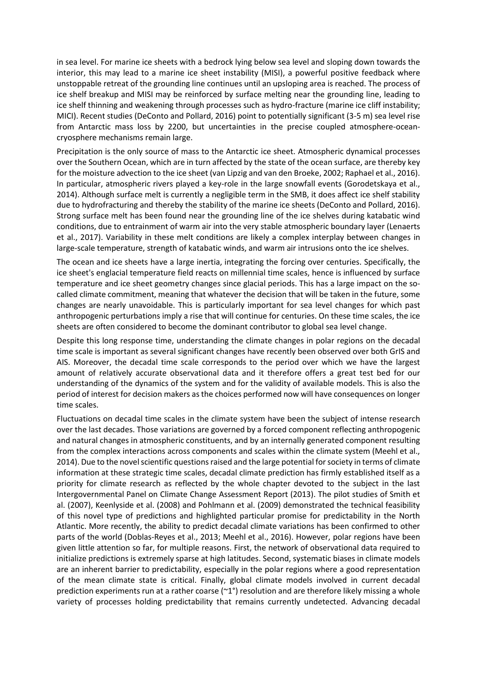in sea level. For marine ice sheets with a bedrock lying below sea level and sloping down towards the interior, this may lead to a marine ice sheet instability (MISI), a powerful positive feedback where unstoppable retreat of the grounding line continues until an upsloping area is reached. The process of ice shelf breakup and MISI may be reinforced by surface melting near the grounding line, leading to ice shelf thinning and weakening through processes such as hydro-fracture (marine ice cliff instability; MICI). Recent studies (DeConto and Pollard, 2016) point to potentially significant (3-5 m) sea level rise from Antarctic mass loss by 2200, but uncertainties in the precise coupled atmosphere-oceancryosphere mechanisms remain large.

Precipitation is the only source of mass to the Antarctic ice sheet. Atmospheric dynamical processes over the Southern Ocean, which are in turn affected by the state of the ocean surface, are thereby key for the moisture advection to the ice sheet (van Lipzig and van den Broeke, 2002; Raphael et al., 2016). In particular, atmospheric rivers played a key-role in the large snowfall events (Gorodetskaya et al., 2014). Although surface melt is currently a negligible term in the SMB, it does affect ice shelf stability due to hydrofracturing and thereby the stability of the marine ice sheets (DeConto and Pollard, 2016). Strong surface melt has been found near the grounding line of the ice shelves during katabatic wind conditions, due to entrainment of warm air into the very stable atmospheric boundary layer (Lenaerts et al., 2017). Variability in these melt conditions are likely a complex interplay between changes in large-scale temperature, strength of katabatic winds, and warm air intrusions onto the ice shelves.

The ocean and ice sheets have a large inertia, integrating the forcing over centuries. Specifically, the ice sheet's englacial temperature field reacts on millennial time scales, hence is influenced by surface temperature and ice sheet geometry changes since glacial periods. This has a large impact on the socalled climate commitment, meaning that whatever the decision that will be taken in the future, some changes are nearly unavoidable. This is particularly important for sea level changes for which past anthropogenic perturbations imply a rise that will continue for centuries. On these time scales, the ice sheets are often considered to become the dominant contributor to global sea level change.

Despite this long response time, understanding the climate changes in polar regions on the decadal time scale is important as several significant changes have recently been observed over both GrIS and AIS. Moreover, the decadal time scale corresponds to the period over which we have the largest amount of relatively accurate observational data and it therefore offers a great test bed for our understanding of the dynamics of the system and for the validity of available models. This is also the period of interest for decision makers as the choices performed now will have consequences on longer time scales.

Fluctuations on decadal time scales in the climate system have been the subject of intense research over the last decades. Those variations are governed by a forced component reflecting anthropogenic and natural changes in atmospheric constituents, and by an internally generated component resulting from the complex interactions across components and scales within the climate system (Meehl et al., 2014). Due to the novel scientific questions raised and the large potential for society in terms of climate information at these strategic time scales, decadal climate prediction has firmly established itself as a priority for climate research as reflected by the whole chapter devoted to the subject in the last Intergovernmental Panel on Climate Change Assessment Report (2013). The pilot studies of Smith et al. (2007), Keenlyside et al. (2008) and Pohlmann et al. (2009) demonstrated the technical feasibility of this novel type of predictions and highlighted particular promise for predictability in the North Atlantic. More recently, the ability to predict decadal climate variations has been confirmed to other parts of the world (Doblas-Reyes et al., 2013; Meehl et al., 2016). However, polar regions have been given little attention so far, for multiple reasons. First, the network of observational data required to initialize predictions is extremely sparse at high latitudes. Second, systematic biases in climate models are an inherent barrier to predictability, especially in the polar regions where a good representation of the mean climate state is critical. Finally, global climate models involved in current decadal prediction experiments run at a rather coarse (~1°) resolution and are therefore likely missing a whole variety of processes holding predictability that remains currently undetected. Advancing decadal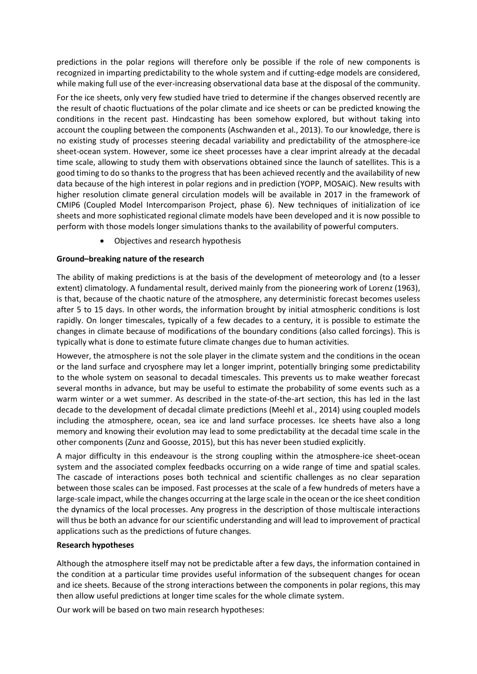predictions in the polar regions will therefore only be possible if the role of new components is recognized in imparting predictability to the whole system and if cutting-edge models are considered, while making full use of the ever-increasing observational data base at the disposal of the community.

For the ice sheets, only very few studied have tried to determine if the changes observed recently are the result of chaotic fluctuations of the polar climate and ice sheets or can be predicted knowing the conditions in the recent past. Hindcasting has been somehow explored, but without taking into account the coupling between the components (Aschwanden et al., 2013). To our knowledge, there is no existing study of processes steering decadal variability and predictability of the atmosphere-ice sheet-ocean system. However, some ice sheet processes have a clear imprint already at the decadal time scale, allowing to study them with observations obtained since the launch of satellites. This is a good timing to do so thanks to the progress that has been achieved recently and the availability of new data because of the high interest in polar regions and in prediction (YOPP, MOSAiC). New results with higher resolution climate general circulation models will be available in 2017 in the framework of CMIP6 (Coupled Model Intercomparison Project, phase 6). New techniques of initialization of ice sheets and more sophisticated regional climate models have been developed and it is now possible to perform with those models longer simulations thanks to the availability of powerful computers.

Objectives and research hypothesis

## **Ground–breaking nature of the research**

The ability of making predictions is at the basis of the development of meteorology and (to a lesser extent) climatology. A fundamental result, derived mainly from the pioneering work of Lorenz (1963), is that, because of the chaotic nature of the atmosphere, any deterministic forecast becomes useless after 5 to 15 days. In other words, the information brought by initial atmospheric conditions is lost rapidly. On longer timescales, typically of a few decades to a century, it is possible to estimate the changes in climate because of modifications of the boundary conditions (also called forcings). This is typically what is done to estimate future climate changes due to human activities.

However, the atmosphere is not the sole player in the climate system and the conditions in the ocean or the land surface and cryosphere may let a longer imprint, potentially bringing some predictability to the whole system on seasonal to decadal timescales. This prevents us to make weather forecast several months in advance, but may be useful to estimate the probability of some events such as a warm winter or a wet summer. As described in the state-of-the-art section, this has led in the last decade to the development of decadal climate predictions (Meehl et al., 2014) using coupled models including the atmosphere, ocean, sea ice and land surface processes. Ice sheets have also a long memory and knowing their evolution may lead to some predictability at the decadal time scale in the other components (Zunz and Goosse, 2015), but this has never been studied explicitly.

A major difficulty in this endeavour is the strong coupling within the atmosphere-ice sheet-ocean system and the associated complex feedbacks occurring on a wide range of time and spatial scales. The cascade of interactions poses both technical and scientific challenges as no clear separation between those scales can be imposed. Fast processes at the scale of a few hundreds of meters have a large-scale impact, while the changes occurring at the large scale in the ocean or the ice sheet condition the dynamics of the local processes. Any progress in the description of those multiscale interactions will thus be both an advance for our scientific understanding and will lead to improvement of practical applications such as the predictions of future changes.

### **Research hypotheses**

Although the atmosphere itself may not be predictable after a few days, the information contained in the condition at a particular time provides useful information of the subsequent changes for ocean and ice sheets. Because of the strong interactions between the components in polar regions, this may then allow useful predictions at longer time scales for the whole climate system.

Our work will be based on two main research hypotheses: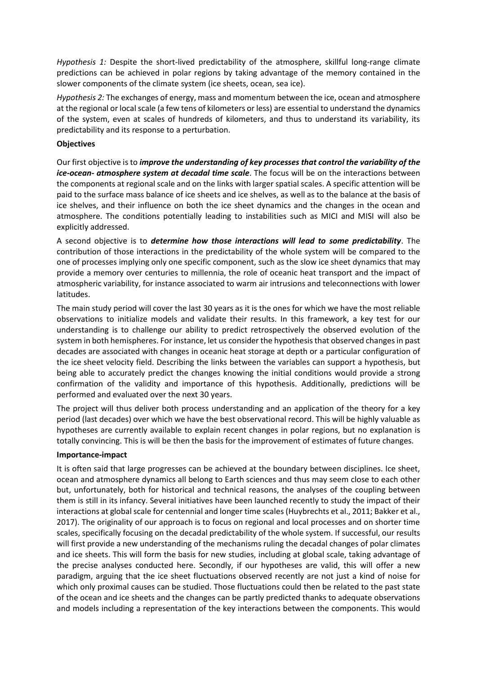*Hypothesis 1:* Despite the short-lived predictability of the atmosphere, skillful long-range climate predictions can be achieved in polar regions by taking advantage of the memory contained in the slower components of the climate system (ice sheets, ocean, sea ice).

*Hypothesis 2:* The exchanges of energy, mass and momentum between the ice, ocean and atmosphere at the regional or local scale (a few tens of kilometers or less) are essential to understand the dynamics of the system, even at scales of hundreds of kilometers, and thus to understand its variability, its predictability and its response to a perturbation.

### **Objectives**

Our first objective is to *improve the understanding of key processes that control the variability of the ice-ocean- atmosphere system at decadal time scale*. The focus will be on the interactions between the components at regional scale and on the links with larger spatial scales. A specific attention will be paid to the surface mass balance of ice sheets and ice shelves, as well as to the balance at the basis of ice shelves, and their influence on both the ice sheet dynamics and the changes in the ocean and atmosphere. The conditions potentially leading to instabilities such as MICI and MISI will also be explicitly addressed.

A second objective is to *determine how those interactions will lead to some predictability*. The contribution of those interactions in the predictability of the whole system will be compared to the one of processes implying only one specific component, such as the slow ice sheet dynamics that may provide a memory over centuries to millennia, the role of oceanic heat transport and the impact of atmospheric variability, for instance associated to warm air intrusions and teleconnections with lower latitudes.

The main study period will cover the last 30 years as it is the ones for which we have the most reliable observations to initialize models and validate their results. In this framework, a key test for our understanding is to challenge our ability to predict retrospectively the observed evolution of the system in both hemispheres. For instance, let us consider the hypothesis that observed changes in past decades are associated with changes in oceanic heat storage at depth or a particular configuration of the ice sheet velocity field. Describing the links between the variables can support a hypothesis, but being able to accurately predict the changes knowing the initial conditions would provide a strong confirmation of the validity and importance of this hypothesis. Additionally, predictions will be performed and evaluated over the next 30 years.

The project will thus deliver both process understanding and an application of the theory for a key period (last decades) over which we have the best observational record. This will be highly valuable as hypotheses are currently available to explain recent changes in polar regions, but no explanation is totally convincing. This is will be then the basis for the improvement of estimates of future changes.

### **Importance-impact**

It is often said that large progresses can be achieved at the boundary between disciplines. Ice sheet, ocean and atmosphere dynamics all belong to Earth sciences and thus may seem close to each other but, unfortunately, both for historical and technical reasons, the analyses of the coupling between them is still in its infancy. Several initiatives have been launched recently to study the impact of their interactions at global scale for centennial and longer time scales (Huybrechts et al., 2011; Bakker et al., 2017). The originality of our approach is to focus on regional and local processes and on shorter time scales, specifically focusing on the decadal predictability of the whole system. If successful, our results will first provide a new understanding of the mechanisms ruling the decadal changes of polar climates and ice sheets. This will form the basis for new studies, including at global scale, taking advantage of the precise analyses conducted here. Secondly, if our hypotheses are valid, this will offer a new paradigm, arguing that the ice sheet fluctuations observed recently are not just a kind of noise for which only proximal causes can be studied. Those fluctuations could then be related to the past state of the ocean and ice sheets and the changes can be partly predicted thanks to adequate observations and models including a representation of the key interactions between the components. This would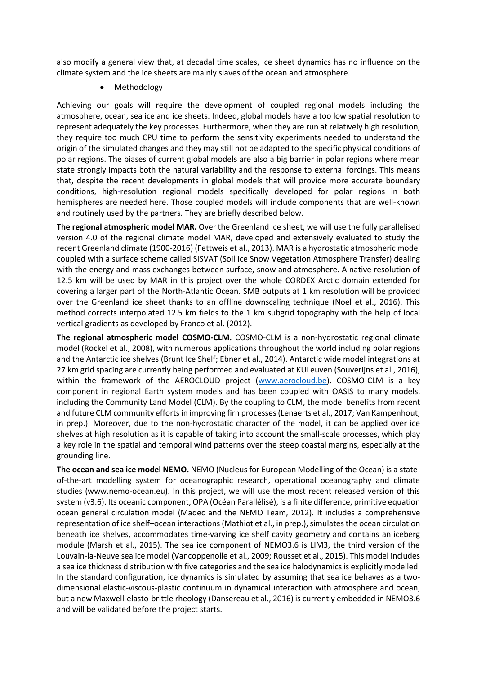also modify a general view that, at decadal time scales, ice sheet dynamics has no influence on the climate system and the ice sheets are mainly slaves of the ocean and atmosphere.

Methodology

Achieving our goals will require the development of coupled regional models including the atmosphere, ocean, sea ice and ice sheets. Indeed, global models have a too low spatial resolution to represent adequately the key processes. Furthermore, when they are run at relatively high resolution, they require too much CPU time to perform the sensitivity experiments needed to understand the origin of the simulated changes and they may still not be adapted to the specific physical conditions of polar regions. The biases of current global models are also a big barrier in polar regions where mean state strongly impacts both the natural variability and the response to external forcings. This means that, despite the recent developments in global models that will provide more accurate boundary conditions, high-resolution regional models specifically developed for polar regions in both hemispheres are needed here. Those coupled models will include components that are well-known and routinely used by the partners. They are briefly described below.

**The regional atmospheric model MAR.** Over the Greenland ice sheet, we will use the fully parallelised version 4.0 of the regional climate model MAR, developed and extensively evaluated to study the recent Greenland climate (1900-2016) (Fettweis et al., 2013). MAR is a hydrostatic atmospheric model coupled with a surface scheme called SISVAT (Soil Ice Snow Vegetation Atmosphere Transfer) dealing with the energy and mass exchanges between surface, snow and atmosphere. A native resolution of 12.5 km will be used by MAR in this project over the whole CORDEX Arctic domain extended for covering a larger part of the North-Atlantic Ocean. SMB outputs at 1 km resolution will be provided over the Greenland ice sheet thanks to an offline downscaling technique (Noel et al., 2016). This method corrects interpolated 12.5 km fields to the 1 km subgrid topography with the help of local vertical gradients as developed by Franco et al. (2012).

**The regional atmospheric model COSMO-CLM.** COSMO-CLM is a non-hydrostatic regional climate model (Rockel et al., 2008), with numerous applications throughout the world including polar regions and the Antarctic ice shelves (Brunt Ice Shelf; Ebner et al., 2014). Antarctic wide model integrations at 27 km grid spacing are currently being performed and evaluated at KULeuven (Souverijns et al., 2016), within the framework of the AEROCLOUD project [\(www.aerocloud.be\)](http://www.aerocloud.be/). COSMO-CLM is a key component in regional Earth system models and has been coupled with OASIS to many models, including the Community Land Model (CLM). By the coupling to CLM, the model benefits from recent and future CLM community efforts in improving firn processes (Lenaerts et al., 2017; Van Kampenhout, in prep.). Moreover, due to the non-hydrostatic character of the model, it can be applied over ice shelves at high resolution as it is capable of taking into account the small-scale processes, which play a key role in the spatial and temporal wind patterns over the steep coastal margins, especially at the grounding line.

**The ocean and sea ice model NEMO.** NEMO (Nucleus for European Modelling of the Ocean) is a stateof-the-art modelling system for oceanographic research, operational oceanography and climate studies (www.nemo-ocean.eu). In this project, we will use the most recent released version of this system (v3.6). Its oceanic component, OPA (Océan Parallélisé), is a finite difference, primitive equation ocean general circulation model (Madec and the NEMO Team, 2012). It includes a comprehensive representation of ice shelf–ocean interactions (Mathiot et al., in prep.), simulates the ocean circulation beneath ice shelves, accommodates time-varying ice shelf cavity geometry and contains an iceberg module (Marsh et al., 2015). The sea ice component of NEMO3.6 is LIM3, the third version of the Louvain-la-Neuve sea ice model (Vancoppenolle et al., 2009; Rousset et al., 2015). This model includes a sea ice thickness distribution with five categories and the sea ice halodynamics is explicitly modelled. In the standard configuration, ice dynamics is simulated by assuming that sea ice behaves as a twodimensional elastic-viscous-plastic continuum in dynamical interaction with atmosphere and ocean, but a new Maxwell-elasto-brittle rheology (Dansereau et al., 2016) is currently embedded in NEMO3.6 and will be validated before the project starts.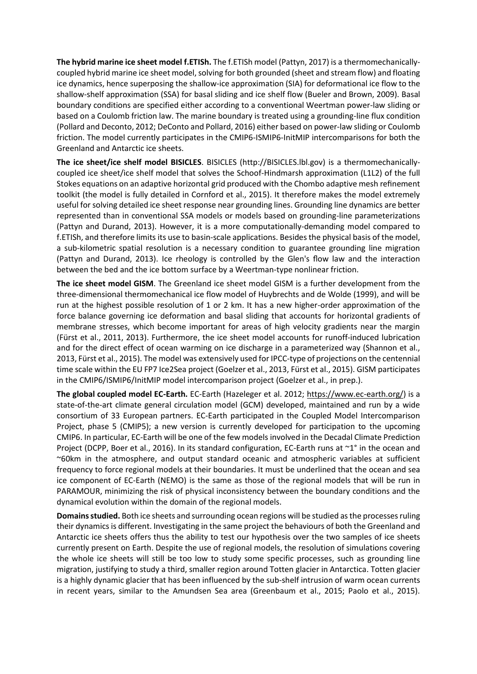**The hybrid marine ice sheet model f.ETISh.** The f.ETISh model (Pattyn, 2017) is a thermomechanicallycoupled hybrid marine ice sheet model, solving for both grounded (sheet and stream flow) and floating ice dynamics, hence superposing the shallow-ice approximation (SIA) for deformational ice flow to the shallow-shelf approximation (SSA) for basal sliding and ice shelf flow (Bueler and Brown, 2009). Basal boundary conditions are specified either according to a conventional Weertman power-law sliding or based on a Coulomb friction law. The marine boundary is treated using a grounding-line flux condition (Pollard and Deconto, 2012; DeConto and Pollard, 2016) either based on power-law sliding or Coulomb friction. The model currently participates in the CMIP6-ISMIP6-InitMIP intercomparisons for both the Greenland and Antarctic ice sheets.

**The ice sheet/ice shelf model BISICLES**. BISICLES (http://BISICLES.lbl.gov) is a thermomechanicallycoupled ice sheet/ice shelf model that solves the Schoof-Hindmarsh approximation (L1L2) of the full Stokes equations on an adaptive horizontal grid produced with the Chombo adaptive mesh refinement toolkit (the model is fully detailed in Cornford et al., 2015). It therefore makes the model extremely useful for solving detailed ice sheet response near grounding lines. Grounding line dynamics are better represented than in conventional SSA models or models based on grounding-line parameterizations (Pattyn and Durand, 2013). However, it is a more computationally-demanding model compared to f.ETISh, and therefore limits its use to basin-scale applications. Besides the physical basis of the model, a sub-kilometric spatial resolution is a necessary condition to guarantee grounding line migration (Pattyn and Durand, 2013). Ice rheology is controlled by the Glen's flow law and the interaction between the bed and the ice bottom surface by a Weertman-type nonlinear friction.

**The ice sheet model GISM**. The Greenland ice sheet model GISM is a further development from the three-dimensional thermomechanical ice flow model of Huybrechts and de Wolde (1999), and will be run at the highest possible resolution of 1 or 2 km. It has a new higher-order approximation of the force balance governing ice deformation and basal sliding that accounts for horizontal gradients of membrane stresses, which become important for areas of high velocity gradients near the margin (Fürst et al., 2011, 2013). Furthermore, the ice sheet model accounts for runoff-induced lubrication and for the direct effect of ocean warming on ice discharge in a parameterized way (Shannon et al., 2013, Fürst et al., 2015). The model was extensively used for IPCC-type of projections on the centennial time scale within the EU FP7 Ice2Sea project (Goelzer et al., 2013, Fürst et al., 2015). GISM participates in the CMIP6/ISMIP6/InitMIP model intercomparison project (Goelzer et al., in prep.).

**The global coupled model EC-Earth.** EC-Earth (Hazeleger et al. 2012; [https://www.ec-earth.org/\)](https://www.ec-earth.org/) is a state-of-the-art climate general circulation model (GCM) developed, maintained and run by a wide consortium of 33 European partners. EC-Earth participated in the Coupled Model Intercomparison Project, phase 5 (CMIP5); a new version is currently developed for participation to the upcoming CMIP6. In particular, EC-Earth will be one of the few models involved in the Decadal Climate Prediction Project (DCPP, Boer et al., 2016). In its standard configuration, EC-Earth runs at ~1° in the ocean and ~60km in the atmosphere, and output standard oceanic and atmospheric variables at sufficient frequency to force regional models at their boundaries. It must be underlined that the ocean and sea ice component of EC-Earth (NEMO) is the same as those of the regional models that will be run in PARAMOUR, minimizing the risk of physical inconsistency between the boundary conditions and the dynamical evolution within the domain of the regional models.

**Domains studied.** Both ice sheets and surrounding ocean regions will be studied as the processes ruling their dynamics is different. Investigating in the same project the behaviours of both the Greenland and Antarctic ice sheets offers thus the ability to test our hypothesis over the two samples of ice sheets currently present on Earth. Despite the use of regional models, the resolution of simulations covering the whole ice sheets will still be too low to study some specific processes, such as grounding line migration, justifying to study a third, smaller region around Totten glacier in Antarctica. Totten glacier is a highly dynamic glacier that has been influenced by the sub-shelf intrusion of warm ocean currents in recent years, similar to the Amundsen Sea area (Greenbaum et al., 2015; Paolo et al., 2015).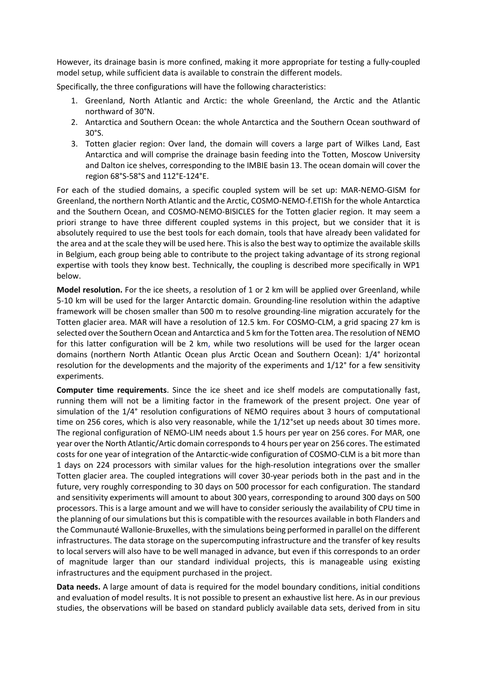However, its drainage basin is more confined, making it more appropriate for testing a fully-coupled model setup, while sufficient data is available to constrain the different models.

Specifically, the three configurations will have the following characteristics:

- 1. Greenland, North Atlantic and Arctic: the whole Greenland, the Arctic and the Atlantic northward of 30°N.
- 2. Antarctica and Southern Ocean: the whole Antarctica and the Southern Ocean southward of 30°S.
- 3. Totten glacier region: Over land, the domain will covers a large part of Wilkes Land, East Antarctica and will comprise the drainage basin feeding into the Totten, Moscow University and Dalton ice shelves, corresponding to the IMBIE basin 13. The ocean domain will cover the region 68°S-58°S and 112°E-124°E.

For each of the studied domains, a specific coupled system will be set up: MAR-NEMO-GISM for Greenland, the northern North Atlantic and the Arctic, COSMO-NEMO-f.ETISh for the whole Antarctica and the Southern Ocean, and COSMO-NEMO-BISICLES for the Totten glacier region. It may seem a priori strange to have three different coupled systems in this project, but we consider that it is absolutely required to use the best tools for each domain, tools that have already been validated for the area and at the scale they will be used here. This is also the best way to optimize the available skills in Belgium, each group being able to contribute to the project taking advantage of its strong regional expertise with tools they know best. Technically, the coupling is described more specifically in WP1 below.

**Model resolution.** For the ice sheets, a resolution of 1 or 2 km will be applied over Greenland, while 5-10 km will be used for the larger Antarctic domain. Grounding-line resolution within the adaptive framework will be chosen smaller than 500 m to resolve grounding-line migration accurately for the Totten glacier area. MAR will have a resolution of 12.5 km. For COSMO-CLM, a grid spacing 27 km is selected over the Southern Ocean and Antarctica and 5 km for the Totten area. The resolution of NEMO for this latter configuration will be 2 km, while two resolutions will be used for the larger ocean domains (northern North Atlantic Ocean plus Arctic Ocean and Southern Ocean): 1/4° horizontal resolution for the developments and the majority of the experiments and 1/12° for a few sensitivity experiments.

**Computer time requirements**. Since the ice sheet and ice shelf models are computationally fast, running them will not be a limiting factor in the framework of the present project. One year of simulation of the 1/4° resolution configurations of NEMO requires about 3 hours of computational time on 256 cores, which is also very reasonable, while the 1/12°set up needs about 30 times more. The regional configuration of NEMO-LIM needs about 1.5 hours per year on 256 cores. For MAR, one year over the North Atlantic/Artic domain corresponds to 4 hours per year on 256 cores. The estimated costs for one year of integration of the Antarctic-wide configuration of COSMO-CLM is a bit more than 1 days on 224 processors with similar values for the high-resolution integrations over the smaller Totten glacier area. The coupled integrations will cover 30-year periods both in the past and in the future, very roughly corresponding to 30 days on 500 processor for each configuration. The standard and sensitivity experiments will amount to about 300 years, corresponding to around 300 days on 500 processors. This is a large amount and we will have to consider seriously the availability of CPU time in the planning of our simulations but this is compatible with the resources available in both Flanders and the Communauté Wallonie-Bruxelles, with the simulations being performed in parallel on the different infrastructures. The data storage on the supercomputing infrastructure and the transfer of key results to local servers will also have to be well managed in advance, but even if this corresponds to an order of magnitude larger than our standard individual projects, this is manageable using existing infrastructures and the equipment purchased in the project.

**Data needs.** A large amount of data is required for the model boundary conditions, initial conditions and evaluation of model results. It is not possible to present an exhaustive list here. As in our previous studies, the observations will be based on standard publicly available data sets, derived from in situ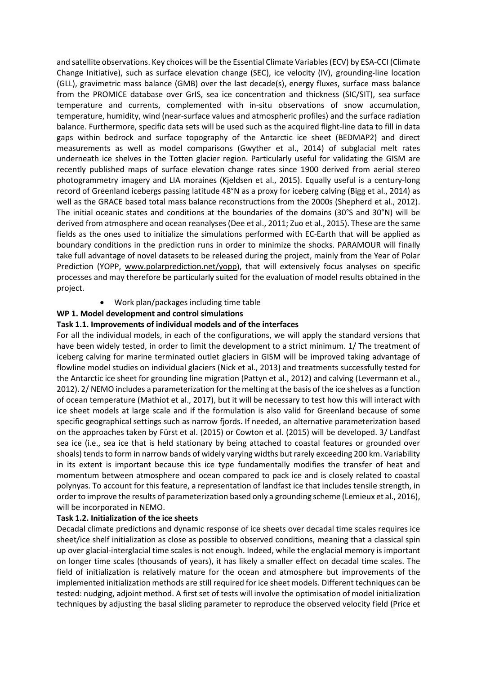and satellite observations. Key choices will be the Essential Climate Variables (ECV) by ESA-CCI (Climate Change Initiative), such as surface elevation change (SEC), ice velocity (IV), grounding-line location (GLL), gravimetric mass balance (GMB) over the last decade(s), energy fluxes, surface mass balance from the PROMICE database over GrIS, sea ice concentration and thickness (SIC/SIT), sea surface temperature and currents, complemented with in-situ observations of snow accumulation, temperature, humidity, wind (near-surface values and atmospheric profiles) and the surface radiation balance. Furthermore, specific data sets will be used such as the acquired flight-line data to fill in data gaps within bedrock and surface topography of the Antarctic ice sheet (BEDMAP2) and direct measurements as well as model comparisons (Gwyther et al., 2014) of subglacial melt rates underneath ice shelves in the Totten glacier region. Particularly useful for validating the GISM are recently published maps of surface elevation change rates since 1900 derived from aerial stereo photogrammetry imagery and LIA moraines (Kjeldsen et al., 2015). Equally useful is a century-long record of Greenland icebergs passing latitude 48°N as a proxy for iceberg calving (Bigg et al., 2014) as well as the GRACE based total mass balance reconstructions from the 2000s (Shepherd et al., 2012). The initial oceanic states and conditions at the boundaries of the domains (30°S and 30°N) will be derived from atmosphere and ocean reanalyses(Dee et al., 2011; Zuo et al., 2015). These are the same fields as the ones used to initialize the simulations performed with EC-Earth that will be applied as boundary conditions in the prediction runs in order to minimize the shocks. PARAMOUR will finally take full advantage of novel datasets to be released during the project, mainly from the Year of Polar Prediction (YOPP, [www.polarprediction.net/yopp\)](http://www.polarprediction.net/yopp), that will extensively focus analyses on specific processes and may therefore be particularly suited for the evaluation of model results obtained in the project.

Work plan/packages including time table

# **WP 1. Model development and control simulations**

## **Task 1.1. Improvements of individual models and of the interfaces**

For all the individual models, in each of the configurations, we will apply the standard versions that have been widely tested, in order to limit the development to a strict minimum. 1/ The treatment of iceberg calving for marine terminated outlet glaciers in GISM will be improved taking advantage of flowline model studies on individual glaciers (Nick et al., 2013) and treatments successfully tested for the Antarctic ice sheet for grounding line migration (Pattyn et al., 2012) and calving (Levermann et al., 2012). 2/ NEMO includes a parameterization for the melting at the basis of the ice shelves as a function of ocean temperature (Mathiot et al., 2017), but it will be necessary to test how this will interact with ice sheet models at large scale and if the formulation is also valid for Greenland because of some specific geographical settings such as narrow fjords. If needed, an alternative parameterization based on the approaches taken by Fürst et al. (2015) or Cowton et al. (2015) will be developed. 3/ Landfast sea ice (i.e., sea ice that is held stationary by being attached to coastal features or grounded over shoals) tends to form in narrow bands of widely varying widths but rarely exceeding 200 km. Variability in its extent is important because this ice type fundamentally modifies the transfer of heat and momentum between atmosphere and ocean compared to pack ice and is closely related to coastal polynyas. To account for this feature, a representation of landfast ice that includes tensile strength, in order to improve the results of parameterization based only a grounding scheme (Lemieux et al., 2016), will be incorporated in NEMO.

### **Task 1.2. Initialization of the ice sheets**

Decadal climate predictions and dynamic response of ice sheets over decadal time scales requires ice sheet/ice shelf initialization as close as possible to observed conditions, meaning that a classical spin up over glacial-interglacial time scales is not enough. Indeed, while the englacial memory is important on longer time scales (thousands of years), it has likely a smaller effect on decadal time scales. The field of initialization is relatively mature for the ocean and atmosphere but improvements of the implemented initialization methods are still required for ice sheet models. Different techniques can be tested: nudging, adjoint method. A first set of tests will involve the optimisation of model initialization techniques by adjusting the basal sliding parameter to reproduce the observed velocity field (Price et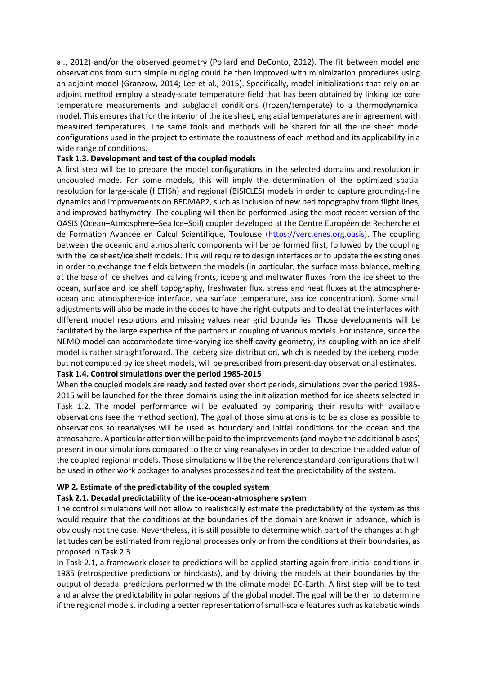al., 2012) and/or the observed geometry (Pollard and DeConto, 2012). The fit between model and observations from such simple nudging could be then improved with minimization procedures using an adjoint model (Granzow, 2014; Lee et al., 2015). Specifically, model initializations that rely on an adjoint method employ a steady-state temperature field that has been obtained by linking ice core temperature measurements and subglacial conditions (frozen/temperate) to a thermodynamical model. This ensures that for the interior of the ice sheet, englacial temperatures are in agreement with measured temperatures. The same tools and methods will be shared for all the ice sheet model configurations used in the project to estimate the robustness of each method and its applicability in a wide range of conditions.

### **Task 1.3. Development and test of the coupled models**

A first step will be to prepare the model configurations in the selected domains and resolution in uncoupled mode. For some models, this will imply the determination of the optimized spatial resolution for large-scale (f.ETISh) and regional (BISICLES) models in order to capture grounding-line dynamics and improvements on BEDMAP2, such as inclusion of new bed topography from flight lines, and improved bathymetry. The coupling will then be performed using the most recent version of the OASIS (Ocean–Atmosphere–Sea Ice–Soil) coupler developed at the Centre Européen de Recherche et de Formation Avancée en Calcul Scientifique, Toulouse (https://verc.enes.org.oasis). The coupling between the oceanic and atmospheric components will be performed first, followed by the coupling with the ice sheet/ice shelf models. This will require to design interfaces or to update the existing ones in order to exchange the fields between the models (in particular, the surface mass balance, melting at the base of ice shelves and calving fronts, iceberg and meltwater fluxes from the ice sheet to the ocean, surface and ice shelf topography, freshwater flux, stress and heat fluxes at the atmosphereocean and atmosphere-ice interface, sea surface temperature, sea ice concentration). Some small adjustments will also be made in the codes to have the right outputs and to deal at the interfaces with different model resolutions and missing values near grid boundaries. Those developments will be facilitated by the large expertise of the partners in coupling of various models. For instance, since the NEMO model can accommodate time-varying ice shelf cavity geometry, its coupling with an ice shelf model is rather straightforward. The iceberg size distribution, which is needed by the iceberg model but not computed by ice sheet models, will be prescribed from present-day observational estimates.

### **Task 1.4. Control simulations over the period 1985-2015**

When the coupled models are ready and tested over short periods, simulations over the period 1985- 2015 will be launched for the three domains using the initialization method for ice sheets selected in Task 1.2. The model performance will be evaluated by comparing their results with available observations (see the method section). The goal of those simulations is to be as close as possible to observations so reanalyses will be used as boundary and initial conditions for the ocean and the atmosphere. A particular attention will be paid to the improvements (and maybe the additional biases) present in our simulations compared to the driving reanalyses in order to describe the added value of the coupled regional models. Those simulations will be the reference standard configurations that will be used in other work packages to analyses processes and test the predictability of the system.

# **WP 2. Estimate of the predictability of the coupled system**

### **Task 2.1. Decadal predictability of the ice-ocean-atmosphere system**

The control simulations will not allow to realistically estimate the predictability of the system as this would require that the conditions at the boundaries of the domain are known in advance, which is obviously not the case. Nevertheless, it is still possible to determine which part of the changes at high latitudes can be estimated from regional processes only or from the conditions at their boundaries, as proposed in Task 2.3.

In Task 2.1, a framework closer to predictions will be applied starting again from initial conditions in 1985 (retrospective predictions or hindcasts), and by driving the models at their boundaries by the output of decadal predictions performed with the climate model EC-Earth. A first step will be to test and analyse the predictability in polar regions of the global model. The goal will be then to determine if the regional models, including a better representation of small-scale features such as katabatic winds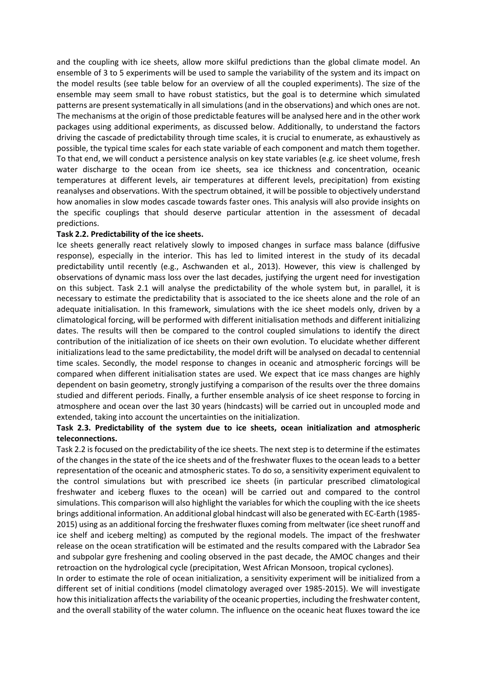and the coupling with ice sheets, allow more skilful predictions than the global climate model. An ensemble of 3 to 5 experiments will be used to sample the variability of the system and its impact on the model results (see table below for an overview of all the coupled experiments). The size of the ensemble may seem small to have robust statistics, but the goal is to determine which simulated patterns are present systematically in all simulations (and in the observations) and which ones are not. The mechanisms at the origin of those predictable features will be analysed here and in the other work packages using additional experiments, as discussed below. Additionally, to understand the factors driving the cascade of predictability through time scales, it is crucial to enumerate, as exhaustively as possible, the typical time scales for each state variable of each component and match them together. To that end, we will conduct a persistence analysis on key state variables (e.g. ice sheet volume, fresh water discharge to the ocean from ice sheets, sea ice thickness and concentration, oceanic temperatures at different levels, air temperatures at different levels, precipitation) from existing reanalyses and observations. With the spectrum obtained, it will be possible to objectively understand how anomalies in slow modes cascade towards faster ones. This analysis will also provide insights on the specific couplings that should deserve particular attention in the assessment of decadal predictions.

### **Task 2.2. Predictability of the ice sheets.**

Ice sheets generally react relatively slowly to imposed changes in surface mass balance (diffusive response), especially in the interior. This has led to limited interest in the study of its decadal predictability until recently (e.g., Aschwanden et al., 2013). However, this view is challenged by observations of dynamic mass loss over the last decades, justifying the urgent need for investigation on this subject. Task 2.1 will analyse the predictability of the whole system but, in parallel, it is necessary to estimate the predictability that is associated to the ice sheets alone and the role of an adequate initialisation. In this framework, simulations with the ice sheet models only, driven by a climatological forcing, will be performed with different initialisation methods and different initializing dates. The results will then be compared to the control coupled simulations to identify the direct contribution of the initialization of ice sheets on their own evolution. To elucidate whether different initializations lead to the same predictability, the model drift will be analysed on decadal to centennial time scales. Secondly, the model response to changes in oceanic and atmospheric forcings will be compared when different initialisation states are used. We expect that ice mass changes are highly dependent on basin geometry, strongly justifying a comparison of the results over the three domains studied and different periods. Finally, a further ensemble analysis of ice sheet response to forcing in atmosphere and ocean over the last 30 years (hindcasts) will be carried out in uncoupled mode and extended, taking into account the uncertainties on the initialization.

# **Task 2.3. Predictability of the system due to ice sheets, ocean initialization and atmospheric teleconnections.**

Task 2.2 is focused on the predictability of the ice sheets. The next step is to determine if the estimates of the changes in the state of the ice sheets and of the freshwater fluxes to the ocean leads to a better representation of the oceanic and atmospheric states. To do so, a sensitivity experiment equivalent to the control simulations but with prescribed ice sheets (in particular prescribed climatological freshwater and iceberg fluxes to the ocean) will be carried out and compared to the control simulations. This comparison will also highlight the variables for which the coupling with the ice sheets brings additional information. An additional global hindcast will also be generated with EC-Earth (1985- 2015) using as an additional forcing the freshwater fluxes coming from meltwater (ice sheet runoff and ice shelf and iceberg melting) as computed by the regional models. The impact of the freshwater release on the ocean stratification will be estimated and the results compared with the Labrador Sea and subpolar gyre freshening and cooling observed in the past decade, the AMOC changes and their retroaction on the hydrological cycle (precipitation, West African Monsoon, tropical cyclones).

In order to estimate the role of ocean initialization, a sensitivity experiment will be initialized from a different set of initial conditions (model climatology averaged over 1985-2015). We will investigate how this initialization affects the variability of the oceanic properties, including the freshwater content, and the overall stability of the water column. The influence on the oceanic heat fluxes toward the ice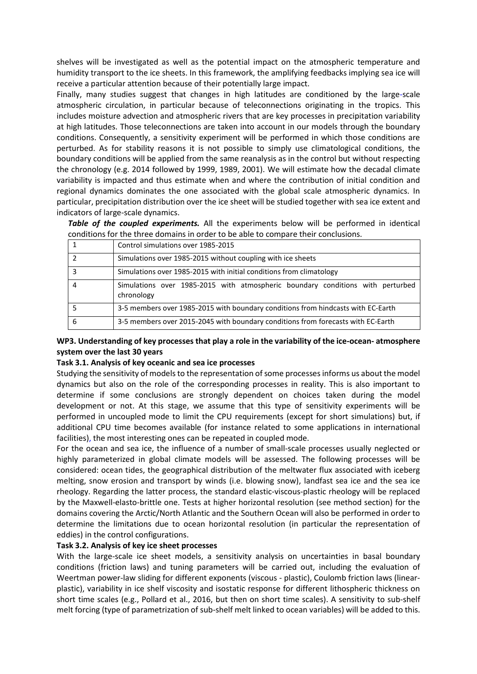shelves will be investigated as well as the potential impact on the atmospheric temperature and humidity transport to the ice sheets. In this framework, the amplifying feedbacks implying sea ice will receive a particular attention because of their potentially large impact.

Finally, many studies suggest that changes in high latitudes are conditioned by the large-scale atmospheric circulation, in particular because of teleconnections originating in the tropics. This includes moisture advection and atmospheric rivers that are key processes in precipitation variability at high latitudes. Those teleconnections are taken into account in our models through the boundary conditions. Consequently, a sensitivity experiment will be performed in which those conditions are perturbed. As for stability reasons it is not possible to simply use climatological conditions, the boundary conditions will be applied from the same reanalysis as in the control but without respecting the chronology (e.g. 2014 followed by 1999, 1989, 2001). We will estimate how the decadal climate variability is impacted and thus estimate when and where the contribution of initial condition and regional dynamics dominates the one associated with the global scale atmospheric dynamics. In particular, precipitation distribution over the ice sheet will be studied together with sea ice extent and indicators of large-scale dynamics.

*Table of the coupled experiments.* All the experiments below will be performed in identical conditions for the three domains in order to be able to compare their conclusions.

|   | Control simulations over 1985-2015                                                           |  |  |  |  |  |  |  |  |
|---|----------------------------------------------------------------------------------------------|--|--|--|--|--|--|--|--|
|   | Simulations over 1985-2015 without coupling with ice sheets                                  |  |  |  |  |  |  |  |  |
| 3 | Simulations over 1985-2015 with initial conditions from climatology                          |  |  |  |  |  |  |  |  |
| 4 | Simulations over 1985-2015 with atmospheric boundary conditions with perturbed<br>chronology |  |  |  |  |  |  |  |  |
|   | 3-5 members over 1985-2015 with boundary conditions from hindcasts with EC-Earth             |  |  |  |  |  |  |  |  |
| 6 | 3-5 members over 2015-2045 with boundary conditions from forecasts with EC-Earth             |  |  |  |  |  |  |  |  |

# **WP3. Understanding of key processes that play a role in the variability of the ice-ocean- atmosphere system over the last 30 years**

### **Task 3.1. Analysis of key oceanic and sea ice processes**

Studying the sensitivity of models to the representation of some processes informs us about the model dynamics but also on the role of the corresponding processes in reality. This is also important to determine if some conclusions are strongly dependent on choices taken during the model development or not. At this stage, we assume that this type of sensitivity experiments will be performed in uncoupled mode to limit the CPU requirements (except for short simulations) but, if additional CPU time becomes available (for instance related to some applications in international facilities), the most interesting ones can be repeated in coupled mode.

For the ocean and sea ice, the influence of a number of small-scale processes usually neglected or highly parameterized in global climate models will be assessed. The following processes will be considered: ocean tides, the geographical distribution of the meltwater flux associated with iceberg melting, snow erosion and transport by winds (i.e. blowing snow), landfast sea ice and the sea ice rheology. Regarding the latter process, the standard elastic-viscous-plastic rheology will be replaced by the Maxwell-elasto-brittle one. Tests at higher horizontal resolution (see method section) for the domains covering the Arctic/North Atlantic and the Southern Ocean will also be performed in order to determine the limitations due to ocean horizontal resolution (in particular the representation of eddies) in the control configurations.

### **Task 3.2. Analysis of key ice sheet processes**

With the large-scale ice sheet models, a sensitivity analysis on uncertainties in basal boundary conditions (friction laws) and tuning parameters will be carried out, including the evaluation of Weertman power-law sliding for different exponents (viscous - plastic), Coulomb friction laws (linearplastic), variability in ice shelf viscosity and isostatic response for different lithospheric thickness on short time scales (e.g., Pollard et al., 2016, but then on short time scales). A sensitivity to sub-shelf melt forcing (type of parametrization of sub-shelf melt linked to ocean variables) will be added to this.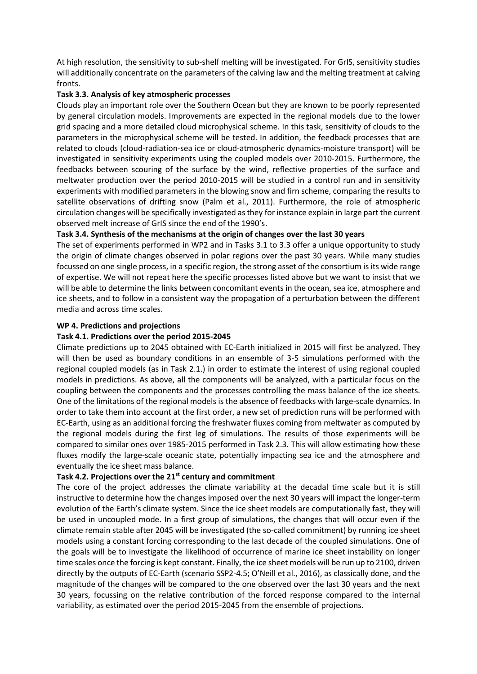At high resolution, the sensitivity to sub-shelf melting will be investigated. For GrIS, sensitivity studies will additionally concentrate on the parameters of the calving law and the melting treatment at calving fronts.

## **Task 3.3. Analysis of key atmospheric processes**

Clouds play an important role over the Southern Ocean but they are known to be poorly represented by general circulation models. Improvements are expected in the regional models due to the lower grid spacing and a more detailed cloud microphysical scheme. In this task, sensitivity of clouds to the parameters in the microphysical scheme will be tested. In addition, the feedback processes that are related to clouds (cloud-radiation-sea ice or cloud-atmospheric dynamics-moisture transport) will be investigated in sensitivity experiments using the coupled models over 2010-2015. Furthermore, the feedbacks between scouring of the surface by the wind, reflective properties of the surface and meltwater production over the period 2010-2015 will be studied in a control run and in sensitivity experiments with modified parameters in the blowing snow and firn scheme, comparing the results to satellite observations of drifting snow (Palm et al., 2011). Furthermore, the role of atmospheric circulation changes will be specifically investigated as they for instance explain in large part the current observed melt increase of GrIS since the end of the 1990's.

## **Task 3.4. Synthesis of the mechanisms at the origin of changes over the last 30 years**

The set of experiments performed in WP2 and in Tasks 3.1 to 3.3 offer a unique opportunity to study the origin of climate changes observed in polar regions over the past 30 years. While many studies focussed on one single process, in a specific region, the strong asset of the consortium is its wide range of expertise. We will not repeat here the specific processes listed above but we want to insist that we will be able to determine the links between concomitant events in the ocean, sea ice, atmosphere and ice sheets, and to follow in a consistent way the propagation of a perturbation between the different media and across time scales.

### **WP 4. Predictions and projections**

### **Task 4.1. Predictions over the period 2015-2045**

Climate predictions up to 2045 obtained with EC-Earth initialized in 2015 will first be analyzed. They will then be used as boundary conditions in an ensemble of 3-5 simulations performed with the regional coupled models (as in Task 2.1.) in order to estimate the interest of using regional coupled models in predictions. As above, all the components will be analyzed, with a particular focus on the coupling between the components and the processes controlling the mass balance of the ice sheets. One of the limitations of the regional models is the absence of feedbacks with large-scale dynamics. In order to take them into account at the first order, a new set of prediction runs will be performed with EC-Earth, using as an additional forcing the freshwater fluxes coming from meltwater as computed by the regional models during the first leg of simulations. The results of those experiments will be compared to similar ones over 1985-2015 performed in Task 2.3. This will allow estimating how these fluxes modify the large-scale oceanic state, potentially impacting sea ice and the atmosphere and eventually the ice sheet mass balance.

# **Task 4.2. Projections over the 21st century and commitment**

The core of the project addresses the climate variability at the decadal time scale but it is still instructive to determine how the changes imposed over the next 30 years will impact the longer-term evolution of the Earth's climate system. Since the ice sheet models are computationally fast, they will be used in uncoupled mode. In a first group of simulations, the changes that will occur even if the climate remain stable after 2045 will be investigated (the so-called commitment) by running ice sheet models using a constant forcing corresponding to the last decade of the coupled simulations. One of the goals will be to investigate the likelihood of occurrence of marine ice sheet instability on longer time scales once the forcing is kept constant. Finally, the ice sheet models will be run up to 2100, driven directly by the outputs of EC-Earth (scenario SSP2-4.5; O'Neill et al., 2016), as classically done, and the magnitude of the changes will be compared to the one observed over the last 30 years and the next 30 years, focussing on the relative contribution of the forced response compared to the internal variability, as estimated over the period 2015-2045 from the ensemble of projections.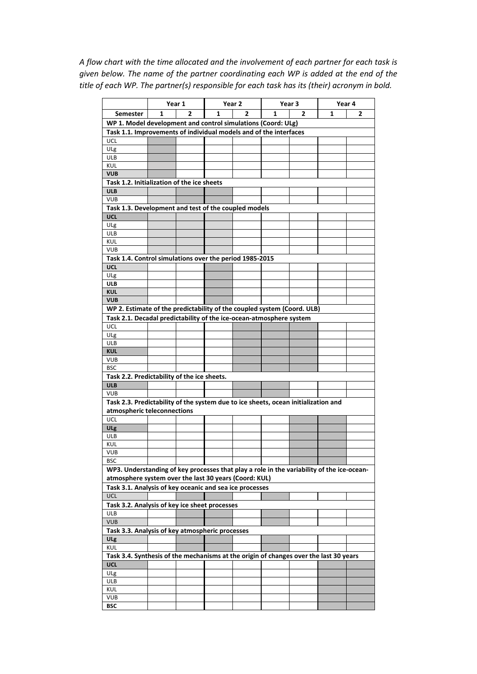*A flow chart with the time allocated and the involvement of each partner for each task is given below. The name of the partner coordinating each WP is added at the end of the title of each WP. The partner(s) responsible for each task has its (their) acronym in bold.*

|                                                                                                                                   | Year 1 |   | Year <sub>2</sub> |   | Year <sub>3</sub> |   | Year 4 |   |  |  |
|-----------------------------------------------------------------------------------------------------------------------------------|--------|---|-------------------|---|-------------------|---|--------|---|--|--|
| <b>Semester</b>                                                                                                                   | 1      | 2 | 1                 | 2 | 1                 | 2 | 1      | 2 |  |  |
|                                                                                                                                   |        |   |                   |   |                   |   |        |   |  |  |
| WP 1. Model development and control simulations (Coord: ULg)<br>Task 1.1. Improvements of individual models and of the interfaces |        |   |                   |   |                   |   |        |   |  |  |
| UCL                                                                                                                               |        |   |                   |   |                   |   |        |   |  |  |
| ULg                                                                                                                               |        |   |                   |   |                   |   |        |   |  |  |
| ULB                                                                                                                               |        |   |                   |   |                   |   |        |   |  |  |
| KUL                                                                                                                               |        |   |                   |   |                   |   |        |   |  |  |
| <b>VUB</b>                                                                                                                        |        |   |                   |   |                   |   |        |   |  |  |
| Task 1.2. Initialization of the ice sheets                                                                                        |        |   |                   |   |                   |   |        |   |  |  |
| <b>ULB</b>                                                                                                                        |        |   |                   |   |                   |   |        |   |  |  |
| <b>VUB</b>                                                                                                                        |        |   |                   |   |                   |   |        |   |  |  |
| Task 1.3. Development and test of the coupled models                                                                              |        |   |                   |   |                   |   |        |   |  |  |
| <b>UCL</b>                                                                                                                        |        |   |                   |   |                   |   |        |   |  |  |
| ULg                                                                                                                               |        |   |                   |   |                   |   |        |   |  |  |
| ULB<br><b>KUL</b>                                                                                                                 |        |   |                   |   |                   |   |        |   |  |  |
| <b>VUB</b>                                                                                                                        |        |   |                   |   |                   |   |        |   |  |  |
| Task 1.4. Control simulations over the period 1985-2015                                                                           |        |   |                   |   |                   |   |        |   |  |  |
| <b>UCL</b>                                                                                                                        |        |   |                   |   |                   |   |        |   |  |  |
| ULg                                                                                                                               |        |   |                   |   |                   |   |        |   |  |  |
| <b>ULB</b>                                                                                                                        |        |   |                   |   |                   |   |        |   |  |  |
| <b>KUL</b>                                                                                                                        |        |   |                   |   |                   |   |        |   |  |  |
| <b>VUB</b>                                                                                                                        |        |   |                   |   |                   |   |        |   |  |  |
| WP 2. Estimate of the predictability of the coupled system (Coord. ULB)                                                           |        |   |                   |   |                   |   |        |   |  |  |
| Task 2.1. Decadal predictability of the ice-ocean-atmosphere system                                                               |        |   |                   |   |                   |   |        |   |  |  |
| UCL                                                                                                                               |        |   |                   |   |                   |   |        |   |  |  |
| ULg                                                                                                                               |        |   |                   |   |                   |   |        |   |  |  |
| ULB                                                                                                                               |        |   |                   |   |                   |   |        |   |  |  |
| <b>KUL</b>                                                                                                                        |        |   |                   |   |                   |   |        |   |  |  |
| <b>VUB</b>                                                                                                                        |        |   |                   |   |                   |   |        |   |  |  |
| <b>BSC</b>                                                                                                                        |        |   |                   |   |                   |   |        |   |  |  |
| Task 2.2. Predictability of the ice sheets.                                                                                       |        |   |                   |   |                   |   |        |   |  |  |
| <b>ULB</b>                                                                                                                        |        |   |                   |   |                   |   |        |   |  |  |
| <b>VUB</b>                                                                                                                        |        |   |                   |   |                   |   |        |   |  |  |
| Task 2.3. Predictability of the system due to ice sheets, ocean initialization and                                                |        |   |                   |   |                   |   |        |   |  |  |
| atmospheric teleconnections                                                                                                       |        |   |                   |   |                   |   |        |   |  |  |
| UCL<br>ULg                                                                                                                        |        |   |                   |   |                   |   |        |   |  |  |
| ULB                                                                                                                               |        |   |                   |   |                   |   |        |   |  |  |
| KUL                                                                                                                               |        |   |                   |   |                   |   |        |   |  |  |
| <b>VUB</b>                                                                                                                        |        |   |                   |   |                   |   |        |   |  |  |
| <b>BSC</b>                                                                                                                        |        |   |                   |   |                   |   |        |   |  |  |
| WP3. Understanding of key processes that play a role in the variability of the ice-ocean-                                         |        |   |                   |   |                   |   |        |   |  |  |
| atmosphere system over the last 30 years (Coord: KUL)                                                                             |        |   |                   |   |                   |   |        |   |  |  |
| Task 3.1. Analysis of key oceanic and sea ice processes                                                                           |        |   |                   |   |                   |   |        |   |  |  |
| UCL                                                                                                                               |        |   |                   |   |                   |   |        |   |  |  |
| Task 3.2. Analysis of key ice sheet processes                                                                                     |        |   |                   |   |                   |   |        |   |  |  |
| <b>ULB</b>                                                                                                                        |        |   |                   |   |                   |   |        |   |  |  |
| <b>VUB</b>                                                                                                                        |        |   |                   |   |                   |   |        |   |  |  |
| Task 3.3. Analysis of key atmospheric processes                                                                                   |        |   |                   |   |                   |   |        |   |  |  |
| ULg                                                                                                                               |        |   |                   |   |                   |   |        |   |  |  |
| KUL                                                                                                                               |        |   |                   |   |                   |   |        |   |  |  |
| Task 3.4. Synthesis of the mechanisms at the origin of changes over the last 30 years                                             |        |   |                   |   |                   |   |        |   |  |  |
| <b>UCL</b>                                                                                                                        |        |   |                   |   |                   |   |        |   |  |  |
| ULg                                                                                                                               |        |   |                   |   |                   |   |        |   |  |  |
| <b>ULB</b>                                                                                                                        |        |   |                   |   |                   |   |        |   |  |  |
| KUL                                                                                                                               |        |   |                   |   |                   |   |        |   |  |  |
| <b>VUB</b>                                                                                                                        |        |   |                   |   |                   |   |        |   |  |  |
| BSC                                                                                                                               |        |   |                   |   |                   |   |        |   |  |  |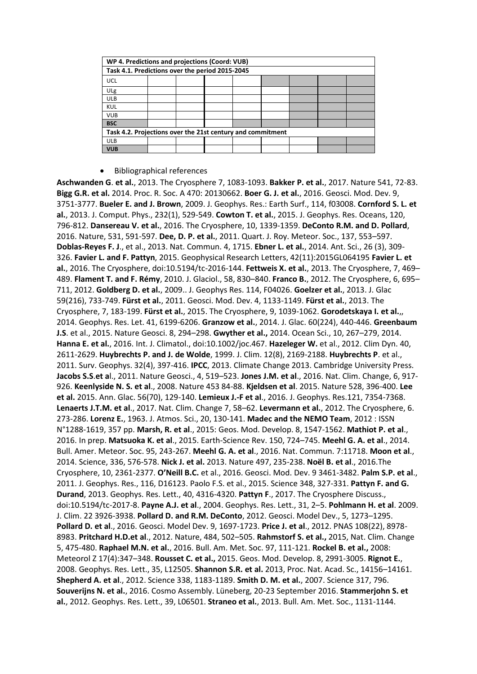| WP 4. Predictions and projections (Coord: VUB)             |  |  |  |  |  |  |  |  |
|------------------------------------------------------------|--|--|--|--|--|--|--|--|
| Task 4.1. Predictions over the period 2015-2045            |  |  |  |  |  |  |  |  |
| UCL                                                        |  |  |  |  |  |  |  |  |
| ULg                                                        |  |  |  |  |  |  |  |  |
| <b>ULB</b>                                                 |  |  |  |  |  |  |  |  |
| <b>KUL</b>                                                 |  |  |  |  |  |  |  |  |
| <b>VUB</b>                                                 |  |  |  |  |  |  |  |  |
| <b>BSC</b>                                                 |  |  |  |  |  |  |  |  |
| Task 4.2. Projections over the 21st century and commitment |  |  |  |  |  |  |  |  |
| <b>ULB</b>                                                 |  |  |  |  |  |  |  |  |
| <b>VUB</b>                                                 |  |  |  |  |  |  |  |  |

#### Bibliographical references

**Aschwanden G**. **et al.**, 2013. The Cryosphere 7, 1083-1093. **Bakker P. et al.**, 2017. Nature 541, 72-83. **Bigg G.R. et al.** 2014. Proc. R. Soc. A 470: 20130662. **Boer G. J. et al.**, 2016. Geosci. Mod. Dev. 9, 3751-3777. **Bueler E. and J. Brown**, 2009. J. Geophys. Res.: Earth Surf., 114, f03008. **Cornford S. L. et al.**, 2013. J. Comput. Phys., 232(1), 529-549. **Cowton T. et al.**, 2015. J. Geophys. Res. Oceans, 120, 796-812. **Dansereau V. et al.**, 2016. The Cryosphere, 10, 1339-1359. **DeConto R.M. and D. Pollard**, 2016. Nature, 531, 591-597. **Dee, D. P. et al.**, 2011. Quart. J. Roy. Meteor. Soc., 137, 553–597. **Doblas-Reyes F. J**., et al., 2013. Nat. Commun. 4, 1715. **Ebner L. et al.**, 2014. Ant. Sci., 26 (3), 309- 326. **Favier L. and F. Pattyn**, 2015. Geophysical Research Letters, 42(11):2015GL064195 **Favier L. et al.**, 2016. The Cryosphere, doi:10.5194/tc-2016-144. **Fettweis X. et al.**, 2013. The Cryosphere, 7, 469– 489. **Flament T. and F. Rémy**, 2010. J. Glaciol., 58, 830–840. **Franco B.**, 2012. The Cryosphere, 6, 695– 711, 2012. **Goldberg D. et al.**, 2009.. J. Geophys Res. 114, F04026. **Goelzer et al.**, 2013. J. Glac 59(216), 733-749. **Fürst et al.**, 2011. Geosci. Mod. Dev. 4, 1133-1149. **Fürst et al.**, 2013. The Cryosphere, 7, 183-199. **Fürst et al.**, 2015. The Cryosphere, 9, 1039-1062. **Gorodetskaya I. et al.**,, 2014. Geophys. Res. Let. 41, 6199-6206. **Granzow et al.**, 2014. J. Glac. 60(224), 440-446. **Greenbaum J.S**. et al., 2015. Nature Geosci. 8, 294–298. **Gwyther et al.,** 2014. Ocean Sci., 10, 267–279, 2014. **Hanna E. et al.**, 2016. Int. J. Climatol., doi:10.1002/joc.467. **Hazeleger W.** et al., 2012. Clim Dyn. 40, 2611-2629. **Huybrechts P. and J. de Wolde**, 1999. J. Clim. 12(8), 2169-2188. **Huybrechts P**. et al., 2011. Surv. Geophys. 32(4), 397-416. **IPCC**, 2013. Climate Change 2013. Cambridge University Press. **Jacobs S.S**.**et a**l., 2011. Nature Geosci., 4, 519–523. **Jones J.M. et al**., 2016. Nat. Clim. Change, 6, 917- 926. **Keenlyside N. S. et al**., 2008. Nature 453 84-88. **Kjeldsen et al**. 2015. Nature 528, 396-400. **Lee et al.** 2015. Ann. Glac. 56(70), 129-140. **Lemieux J.-F et al**., 2016. J. Geophys. Res.121, 7354-7368. **Lenaerts J.T.M. et al**., 2017. Nat. Clim. Change 7, 58–62. **Levermann et al.**, 2012. The Cryosphere, 6. 273-286. **Lorenz E.**, 1963. J. Atmos. Sci., 20, 130-141. **Madec and the NEMO Team**, 2012 : ISSN N°1288-1619, 357 pp. **Marsh, R. et al**., 2015: Geos. Mod. Develop. 8, 1547-1562. **Mathiot P. et al**., 2016. In prep. **Matsuoka K. et al**., 2015. Earth-Science Rev. 150, 724–745. **Meehl G. A. et al**., 2014. Bull. Amer. Meteor. Soc. 95, 243-267. **Meehl G. A. et al**., 2016. Nat. Commun. 7:11718. **Moon et al**., 2014. Science, 336, 576-578. **Nick J. et al.** 2013. Nature 497, 235-238. **Noël B. et al**., 2016.The Cryosphere, 10, 2361-2377. **O'Neill B.C.** et al., 2016. Geosci. Mod. Dev. 9 3461-3482. **Palm S.P. et al**., 2011. J. Geophys. Res., 116, D16123. Paolo F.S. et al., 2015. Science 348, 327-331. **Pattyn F. and G. Durand**, 2013. Geophys. Res. Lett., 40, 4316-4320. **Pattyn F**., 2017. The Cryosphere Discuss., doi:10.5194/tc-2017-8. **Payne A.J. et al**., 2004. Geophys. Res. Lett., 31, 2–5. **Pohlmann H. et al**. 2009. J. Clim. 22 3926-3938. **Pollard D. and R.M. DeConto**, 2012. Geosci. Model Dev., 5, 1273–1295. **Pollard D. et al**., 2016. Geosci. Model Dev. 9, 1697-1723. **Price J. et al**., 2012. PNAS 108(22), 8978- 8983. **Pritchard H.D.et al**., 2012. Nature, 484, 502–505. **Rahmstorf S. et al.,** 2015, Nat. Clim. Change 5, 475-480. **Raphael M.N. et al.**, 2016. Bull. Am. Met. Soc. 97, 111-121. **Rockel B. et al.,** 2008: Meteorol Z 17(4):347–348. **Rousset C. et al.,** 2015. Geos. Mod. Develop. 8, 2991-3005. **Rignot E.**, 2008. Geophys. Res. Lett., 35, L12505. **Shannon S.R. et al.** 2013, Proc. Nat. Acad. Sc., 14156–14161. **Shepherd A. et al**., 2012. Science 338, 1183-1189. **Smith D. M. et al.**, 2007. Science 317, 796. **Souverijns N. et al.**, 2016. Cosmo Assembly. Lüneberg, 20-23 September 2016. **Stammerjohn S. et al.**, 2012. Geophys. Res. Lett., 39, L06501. **Straneo et al.**, 2013. Bull. Am. Met. Soc., 1131-1144.